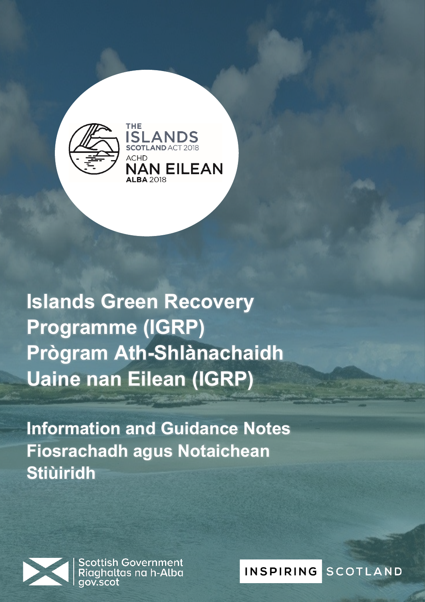

**Islands Green Recovery Programme (IGRP) Prògram Ath-Shlànachaidh Uaine nan Eilean (IGRP)**

**Information and Guidance Notes Fiosrachadh agus Notaichean Stiùiridh**



**Scottish Government<br>Riaghaltas na h-Alba Fiosrachadh agus Notaichean Stiùiridh**

**INSPIRING** SCOTLAND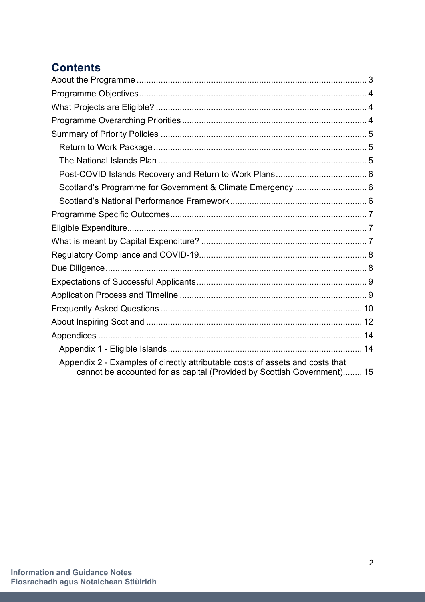# **Contents**

| Scotland's Programme for Government & Climate Emergency  6                                                                                               |  |
|----------------------------------------------------------------------------------------------------------------------------------------------------------|--|
|                                                                                                                                                          |  |
|                                                                                                                                                          |  |
|                                                                                                                                                          |  |
|                                                                                                                                                          |  |
|                                                                                                                                                          |  |
|                                                                                                                                                          |  |
|                                                                                                                                                          |  |
|                                                                                                                                                          |  |
|                                                                                                                                                          |  |
|                                                                                                                                                          |  |
|                                                                                                                                                          |  |
|                                                                                                                                                          |  |
| Appendix 2 - Examples of directly attributable costs of assets and costs that<br>cannot be accounted for as capital (Provided by Scottish Government) 15 |  |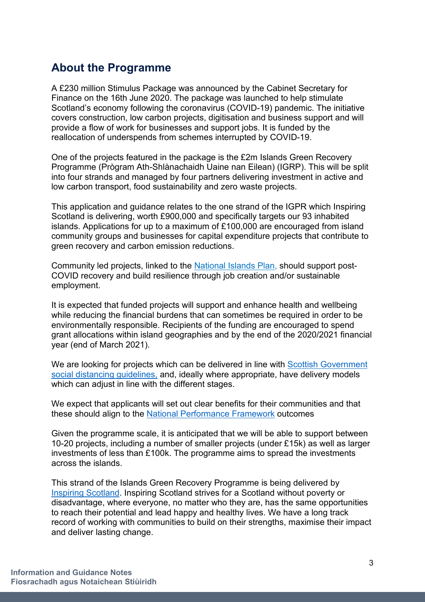## <span id="page-2-0"></span>**About the Programme**

A £230 million Stimulus Package was announced by the Cabinet Secretary for Finance on the 16th June 2020. The package was launched to help stimulate Scotland's economy following the coronavirus (COVID-19) pandemic. The initiative covers construction, low carbon projects, digitisation and business support and will provide a flow of work for businesses and support jobs. It is funded by the reallocation of underspends from schemes interrupted by COVID-19.

One of the projects featured in the package is the £2m Islands Green Recovery Programme (Prògram Ath-Shlànachaidh Uaine nan Eilean) (IGRP). This will be split into four strands and managed by four partners delivering investment in active and low carbon transport, food sustainability and zero waste projects.

This application and guidance relates to the one strand of the IGPR which Inspiring Scotland is delivering, worth £900,000 and specifically targets our 93 inhabited islands. Applications for up to a maximum of £100,000 are encouraged from island community groups and businesses for capital expenditure projects that contribute to green recovery and carbon emission reductions.

Community led projects, linked to the [National Islands Plan,](https://urldefense.proofpoint.com/v2/url?u=https-3A__www.gov.scot_publications_national-2Dplan-2Dscotlands-2Dislands_&d=DwMFAw&c=euGZstcaTDllvimEN8b7jXrwqOf-v5A_CdpgnVfiiMM&r=Q7xn_QYy_Adn7Q0ylJodCdFXElKXxZOIBnbrKHbrowE&m=WKDlg-a67q_wS9SZpyKx2bCI9ADNTv-nVUc4Kz-h8A0&s=mQLN63POKuj9tvz5iISx5wQepDceHQsHnpEDMRuwdkg&e=) should support post-COVID recovery and build resilience through job creation and/or sustainable employment.

It is expected that funded projects will support and enhance health and wellbeing while reducing the financial burdens that can sometimes be required in order to be environmentally responsible. Recipients of the funding are encouraged to spend grant allocations within island geographies and by the end of the 2020/2021 financial year (end of March 2021).

We are looking for projects which can be delivered in line with Scottish Government [social distancing guidelines,](https://www.gov.scot/publications/coronavirus-COVID-19-19-framework-decision-making-scotlands-route-map-through-out-crisis/) and, ideally where appropriate, have delivery models which can adjust in line with the different stages.

We expect that applicants will set out clear benefits for their communities and that these should align to the [National Performance Framework](https://nationalperformance.gov.scot/) outcomes

Given the programme scale, it is anticipated that we will be able to support between 10-20 projects, including a number of smaller projects (under £15k) as well as larger investments of less than £100k. The programme aims to spread the investments across the islands.

This strand of the Islands Green Recovery Programme is being delivered by [Inspiring Scotland.](http://www.inspiringscotland.org.uk/) Inspiring Scotland strives for a Scotland without poverty or disadvantage, where everyone, no matter who they are, has the same opportunities to reach their potential and lead happy and healthy lives. We have a long track record of working with communities to build on their strengths, maximise their impact and deliver lasting change.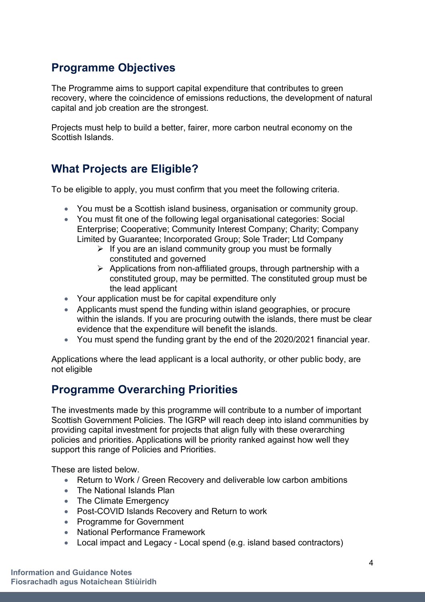# <span id="page-3-0"></span>**Programme Objectives**

The Programme aims to support capital expenditure that contributes to green recovery, where the coincidence of emissions reductions, the development of natural capital and job creation are the strongest.

Projects must help to build a better, fairer, more carbon neutral economy on the Scottish Islands.

## <span id="page-3-1"></span>**What Projects are Eligible?**

To be eligible to apply, you must confirm that you meet the following criteria.

- You must be a Scottish island business, organisation or community group.
- You must fit one of the following legal organisational categories: Social Enterprise; Cooperative; Community Interest Company; Charity; Company Limited by Guarantee; Incorporated Group; Sole Trader; Ltd Company
	- $\triangleright$  If you are an island community group you must be formally constituted and governed
	- $\triangleright$  Applications from non-affiliated groups, through partnership with a constituted group, may be permitted. The constituted group must be the lead applicant
- Your application must be for capital expenditure only
- Applicants must spend the funding within island geographies, or procure within the islands. If you are procuring outwith the islands, there must be clear evidence that the expenditure will benefit the islands.
- You must spend the funding grant by the end of the 2020/2021 financial year.

Applications where the lead applicant is a local authority, or other public body, are not eligible

# <span id="page-3-2"></span>**Programme Overarching Priorities**

The investments made by this programme will contribute to a number of important Scottish Government Policies. The IGRP will reach deep into island communities by providing capital investment for projects that align fully with these overarching policies and priorities. Applications will be priority ranked against how well they support this range of Policies and Priorities.

These are listed below.

- Return to Work / Green Recovery and deliverable low carbon ambitions
- The National Islands Plan
- The Climate Emergency
- Post-COVID Islands Recovery and Return to work
- Programme for Government
- National Performance Framework
- Local impact and Legacy Local spend (e.g. island based contractors)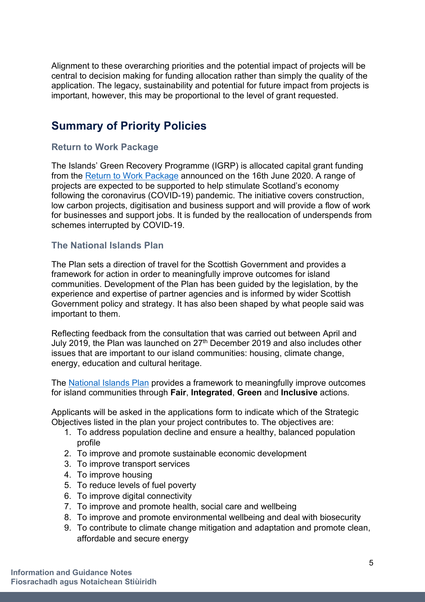Alignment to these overarching priorities and the potential impact of projects will be central to decision making for funding allocation rather than simply the quality of the application. The legacy, sustainability and potential for future impact from projects is important, however, this may be proportional to the level of grant requested.

## <span id="page-4-0"></span>**Summary of Priority Policies**

## <span id="page-4-1"></span>**Return to Work Package**

The Islands' Green Recovery Programme (IGRP) is allocated capital grant funding from the [Return to Work Package](https://www.gov.scot/news/return-to-work-package-launched/) announced on the 16th June 2020. A range of projects are expected to be supported to help stimulate Scotland's economy following the coronavirus (COVID-19) pandemic. The initiative covers construction, low carbon projects, digitisation and business support and will provide a flow of work for businesses and support jobs. It is funded by the reallocation of underspends from schemes interrupted by COVID-19.

#### <span id="page-4-2"></span>**The National Islands Plan**

The Plan sets a direction of travel for the Scottish Government and provides a framework for action in order to meaningfully improve outcomes for island communities. Development of the Plan has been guided by the legislation, by the experience and expertise of partner agencies and is informed by wider Scottish Government policy and strategy. It has also been shaped by what people said was important to them.

Reflecting feedback from the consultation that was carried out between April and July 2019, the Plan was launched on 27<sup>th</sup> December 2019 and also includes other issues that are important to our island communities: housing, climate change, energy, education and cultural heritage.

The [National Islands Plan](https://www.gov.scot/publications/national-plan-scotlands-islands/) provides a framework to meaningfully improve outcomes for island communities through **Fair**, **Integrated**, **Green** and **Inclusive** actions.

Applicants will be asked in the applications form to indicate which of the Strategic Objectives listed in the plan your project contributes to. The objectives are:

- 1. To address population decline and ensure a healthy, balanced population profile
- 2. To improve and promote sustainable economic development
- 3. To improve transport services
- 4. To improve housing
- 5. To reduce levels of fuel poverty
- 6. To improve digital connectivity
- 7. To improve and promote health, social care and wellbeing
- 8. To improve and promote environmental wellbeing and deal with biosecurity
- 9. To contribute to climate change mitigation and adaptation and promote clean, affordable and secure energy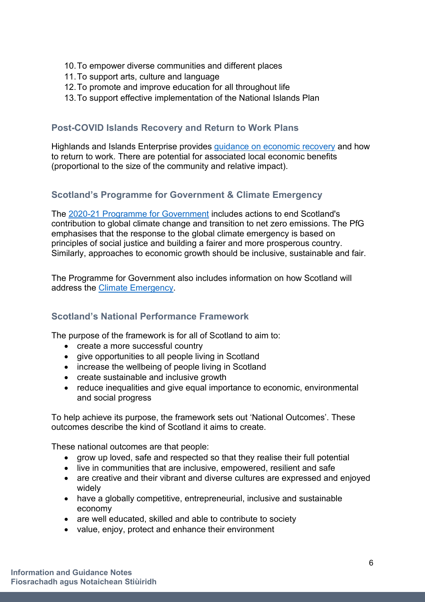- 10.To empower diverse communities and different places
- 11.To support arts, culture and language
- 12.To promote and improve education for all throughout life
- 13.To support effective implementation of the National Islands Plan

## <span id="page-5-0"></span>**Post-COVID Islands Recovery and Return to Work Plans**

Highlands and Islands Enterprise provides [guidance on economic recovery](https://www.hie.co.uk/support/browse-all-support-services/covid19/guidance-on-economic-recovery-and-how-to-return-to-work/) and how to return to work. There are potential for associated local economic benefits (proportional to the size of the community and relative impact).

## <span id="page-5-1"></span>**Scotland's Programme for Government & Climate Emergency**

The 2020-21 [Programme for Government](https://www.gov.scot/publications/protecting-scotlands-future-governments-programme-scotland-2019-20/pages/6/) includes actions to end Scotland's contribution to global climate change and transition to net zero emissions. The PfG emphasises that the response to the global climate emergency is based on principles of social justice and building a fairer and more prosperous country. Similarly, approaches to economic growth should be inclusive, sustainable and fair.

The Programme for Government also includes information on how Scotland will address the [Climate Emergency.](https://www.gov.scot/publications/protecting-scotlands-future-governments-programme-scotland-2019-20/pages/5/)

## <span id="page-5-2"></span>**Scotland's National Performance Framework**

The purpose of the framework is for all of Scotland to aim to:

- create a more successful country
- give opportunities to all people living in Scotland
- increase the wellbeing of people living in Scotland
- create sustainable and inclusive growth
- reduce inequalities and give equal importance to economic, environmental and social progress

To help achieve its purpose, the framework sets out 'National Outcomes'. These outcomes describe the kind of Scotland it aims to create.

These national outcomes are that people:

- grow up loved, safe and respected so that they realise their full potential
- live in communities that are inclusive, empowered, resilient and safe
- are creative and their vibrant and diverse cultures are expressed and enjoyed widely
- have a globally competitive, entrepreneurial, inclusive and sustainable economy
- are well educated, skilled and able to contribute to society
- value, enjoy, protect and enhance their environment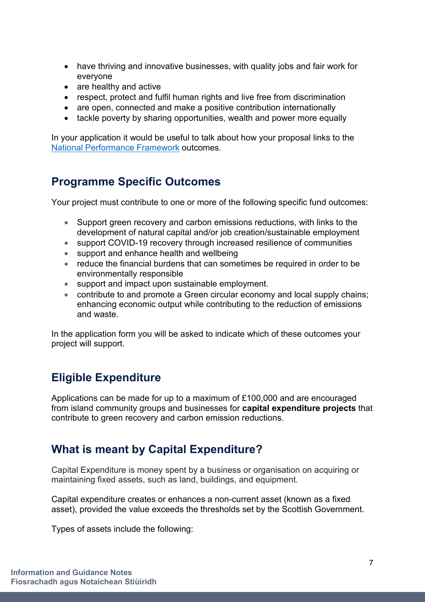- have thriving and innovative businesses, with quality jobs and fair work for everyone
- are healthy and active
- respect, protect and fulfil human rights and live free from discrimination
- are open, connected and make a positive contribution internationally
- tackle poverty by sharing opportunities, wealth and power more equally

In your application it would be useful to talk about how your proposal links to the [National Performance Framework](https://nationalperformance.gov.scot/) outcomes.

## <span id="page-6-0"></span>**Programme Specific Outcomes**

Your project must contribute to one or more of the following specific fund outcomes:

- Support green recovery and carbon emissions reductions, with links to the development of natural capital and/or job creation/sustainable employment
- support COVID-19 recovery through increased resilience of communities
- support and enhance health and wellbeing
- reduce the financial burdens that can sometimes be required in order to be environmentally responsible
- support and impact upon sustainable employment.
- contribute to and promote a Green circular economy and local supply chains: enhancing economic output while contributing to the reduction of emissions and waste.

In the application form you will be asked to indicate which of these outcomes your project will support.

# <span id="page-6-1"></span>**Eligible Expenditure**

Applications can be made for up to a maximum of £100,000 and are encouraged from island community groups and businesses for **capital expenditure projects** that contribute to green recovery and carbon emission reductions.

# <span id="page-6-2"></span>**What is meant by Capital Expenditure?**

Capital Expenditure is money spent by a business or organisation on acquiring or maintaining fixed assets, such as land, buildings, and equipment.

Capital expenditure creates or enhances a non-current asset (known as a fixed asset), provided the value exceeds the thresholds set by the Scottish Government.

Types of assets include the following: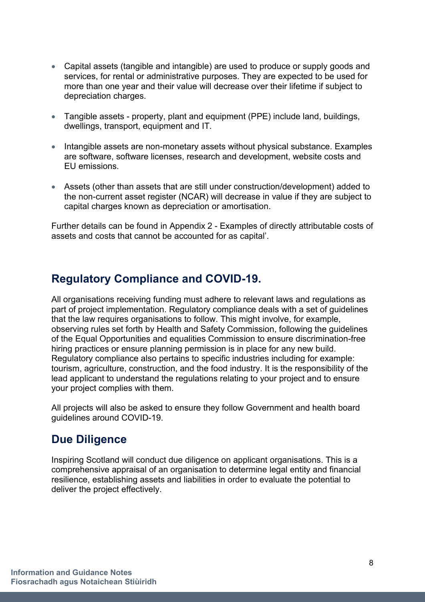- Capital assets (tangible and intangible) are used to produce or supply goods and services, for rental or administrative purposes. They are expected to be used for more than one year and their value will decrease over their lifetime if subject to depreciation charges.
- Tangible assets property, plant and equipment (PPE) include land, buildings, dwellings, transport, equipment and IT.
- Intangible assets are non-monetary assets without physical substance. Examples are software, software licenses, research and development, website costs and EU emissions.
- Assets (other than assets that are still under construction/development) added to the non-current asset register (NCAR) will decrease in value if they are subject to capital charges known as depreciation or amortisation.

Further details can be found in Appendix 2 - Examples of directly attributable costs of assets and costs that cannot be accounted for as capital'.

## <span id="page-7-0"></span>**Regulatory Compliance and COVID-19.**

All organisations receiving funding must adhere to relevant laws and regulations as part of project implementation. Regulatory compliance deals with a set of guidelines that the law requires organisations to follow. This might involve, for example, observing rules set forth by Health and Safety Commission, following the guidelines of the Equal Opportunities and equalities Commission to ensure discrimination-free hiring practices or ensure planning permission is in place for any new build. Regulatory compliance also pertains to specific industries including for example: tourism, agriculture, construction, and the food industry. It is the responsibility of the lead applicant to understand the regulations relating to your project and to ensure your project complies with them.

All projects will also be asked to ensure they follow Government and health board guidelines around COVID-19.

## <span id="page-7-1"></span>**Due Diligence**

Inspiring Scotland will conduct due diligence on applicant organisations. This is a comprehensive appraisal of an organisation to determine legal entity and financial resilience, establishing assets and liabilities in order to evaluate the potential to deliver the project effectively.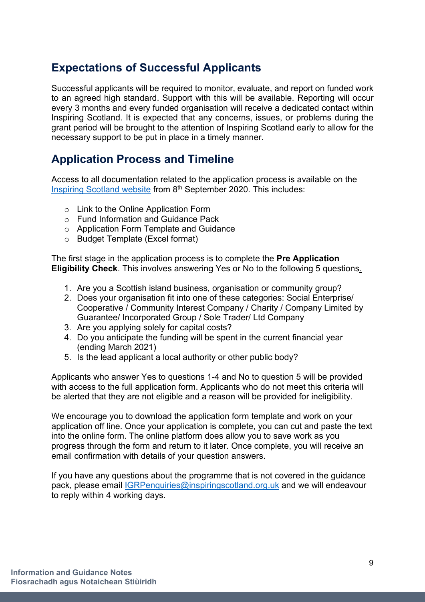# <span id="page-8-0"></span>**Expectations of Successful Applicants**

Successful applicants will be required to monitor, evaluate, and report on funded work to an agreed high standard. Support with this will be available. Reporting will occur every 3 months and every funded organisation will receive a dedicated contact within Inspiring Scotland. It is expected that any concerns, issues, or problems during the grant period will be brought to the attention of Inspiring Scotland early to allow for the necessary support to be put in place in a timely manner.

# <span id="page-8-1"></span>**Application Process and Timeline**

Access to all documentation related to the application process is available on the [Inspiring Scotland website](https://www.inspiringscotland.org.uk/what-we-do/our-funds/islands-green-recovery-programme) from 8<sup>th</sup> September 2020. This includes:

- o Link to the Online Application Form
- o Fund Information and Guidance Pack
- o Application Form Template and Guidance
- o Budget Template (Excel format)

The first stage in the application process is to complete the **Pre Application Eligibility Check**. This involves answering Yes or No to the following 5 questions.

- 1. Are you a Scottish island business, organisation or community group?
- 2. Does your organisation fit into one of these categories: Social Enterprise/ Cooperative / Community Interest Company / Charity / Company Limited by Guarantee/ Incorporated Group / Sole Trader/ Ltd Company
- 3. Are you applying solely for capital costs?
- 4. Do you anticipate the funding will be spent in the current financial year (ending March 2021)
- 5. Is the lead applicant a local authority or other public body?

Applicants who answer Yes to questions 1-4 and No to question 5 will be provided with access to the full application form. Applicants who do not meet this criteria will be alerted that they are not eligible and a reason will be provided for ineligibility.

We encourage you to download the application form template and work on your application off line. Once your application is complete, you can cut and paste the text into the online form. The online platform does allow you to save work as you progress through the form and return to it later. Once complete, you will receive an email confirmation with details of your question answers.

If you have any questions about the programme that is not covered in the guidance pack, please email [IGRPenquiries@inspiringscotland.org.uk](mailto:IGRPenquiries@inspiringscotland.org.uk) and we will endeavour to reply within 4 working days.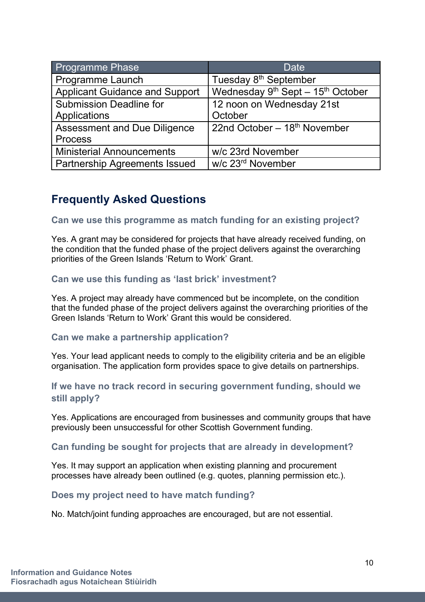| <b>Programme Phase</b>                | Date                                               |
|---------------------------------------|----------------------------------------------------|
| Programme Launch                      | Tuesday 8 <sup>th</sup> September                  |
| <b>Applicant Guidance and Support</b> | Wednesday $9^{th}$ Sept - 15 <sup>th</sup> October |
| <b>Submission Deadline for</b>        | 12 noon on Wednesday 21st                          |
| Applications                          | October                                            |
| <b>Assessment and Due Diligence</b>   | 22nd October $-18th$ November                      |
| <b>Process</b>                        |                                                    |
| <b>Ministerial Announcements</b>      | w/c 23rd November                                  |
| <b>Partnership Agreements Issued</b>  | w/c 23 <sup>rd</sup> November                      |

## <span id="page-9-0"></span>**Frequently Asked Questions**

**Can we use this programme as match funding for an existing project?**

Yes. A grant may be considered for projects that have already received funding, on the condition that the funded phase of the project delivers against the overarching priorities of the Green Islands 'Return to Work' Grant.

## **Can we use this funding as 'last brick' investment?**

Yes. A project may already have commenced but be incomplete, on the condition that the funded phase of the project delivers against the overarching priorities of the Green Islands 'Return to Work' Grant this would be considered.

#### **Can we make a partnership application?**

Yes. Your lead applicant needs to comply to the eligibility criteria and be an eligible organisation. The application form provides space to give details on partnerships.

#### **If we have no track record in securing government funding, should we still apply?**

Yes. Applications are encouraged from businesses and community groups that have previously been unsuccessful for other Scottish Government funding.

#### **Can funding be sought for projects that are already in development?**

Yes. It may support an application when existing planning and procurement processes have already been outlined (e.g. quotes, planning permission etc.).

#### **Does my project need to have match funding?**

No. Match/joint funding approaches are encouraged, but are not essential.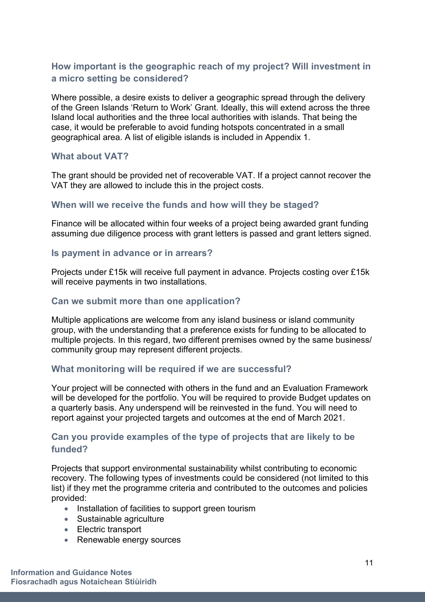## **How important is the geographic reach of my project? Will investment in a micro setting be considered?**

Where possible, a desire exists to deliver a geographic spread through the delivery of the Green Islands 'Return to Work' Grant. Ideally, this will extend across the three Island local authorities and the three local authorities with islands. That being the case, it would be preferable to avoid funding hotspots concentrated in a small geographical area. A list of eligible islands is included in Appendix 1.

#### **What about VAT?**

The grant should be provided net of recoverable VAT. If a project cannot recover the VAT they are allowed to include this in the project costs.

#### **When will we receive the funds and how will they be staged?**

Finance will be allocated within four weeks of a project being awarded grant funding assuming due diligence process with grant letters is passed and grant letters signed.

#### **Is payment in advance or in arrears?**

Projects under £15k will receive full payment in advance. Projects costing over £15k will receive payments in two installations.

#### **Can we submit more than one application?**

Multiple applications are welcome from any island business or island community group, with the understanding that a preference exists for funding to be allocated to multiple projects. In this regard, two different premises owned by the same business/ community group may represent different projects.

#### **What monitoring will be required if we are successful?**

Your project will be connected with others in the fund and an Evaluation Framework will be developed for the portfolio. You will be required to provide Budget updates on a quarterly basis. Any underspend will be reinvested in the fund. You will need to report against your projected targets and outcomes at the end of March 2021.

#### **Can you provide examples of the type of projects that are likely to be funded?**

Projects that support environmental sustainability whilst contributing to economic recovery. The following types of investments could be considered (not limited to this list) if they met the programme criteria and contributed to the outcomes and policies provided:

- Installation of facilities to support green tourism
- Sustainable agriculture
- Electric transport
- Renewable energy sources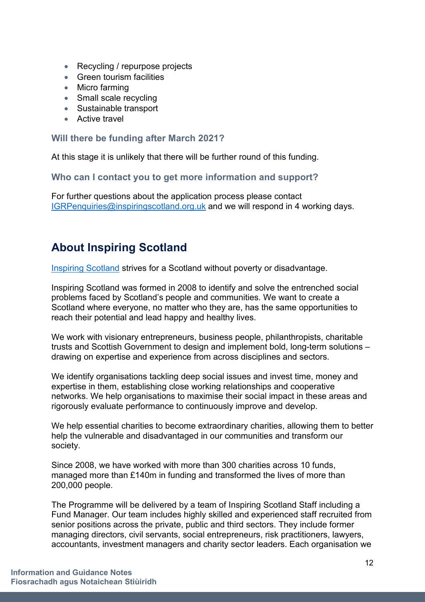- Recycling / repurpose projects
- Green tourism facilities
- Micro farming
- Small scale recycling
- Sustainable transport
- Active travel

### **Will there be funding after March 2021?**

At this stage it is unlikely that there will be further round of this funding.

**Who can I contact you to get more information and support?**

For further questions about the application process please contact [IGRPenquiries@inspiringscotland.org.uk](mailto:IGRPenquiries@inspiringscotland.org.uk) and we will respond in 4 working days.

# <span id="page-11-0"></span>**About Inspiring Scotland**

[Inspiring Scotland](http://www.inspiringscotland.org.uk/) strives for a Scotland without poverty or disadvantage.

Inspiring Scotland was formed in 2008 to identify and solve the entrenched social problems faced by Scotland's people and communities. We want to create a Scotland where everyone, no matter who they are, has the same opportunities to reach their potential and lead happy and healthy lives.

We work with visionary entrepreneurs, business people, philanthropists, charitable trusts and Scottish Government to design and implement bold, long-term solutions – drawing on expertise and experience from across disciplines and sectors.

We identify organisations tackling deep social issues and invest time, money and expertise in them, establishing close working relationships and cooperative networks. We help organisations to maximise their social impact in these areas and rigorously evaluate performance to continuously improve and develop.

We help essential charities to become extraordinary charities, allowing them to better help the vulnerable and disadvantaged in our communities and transform our society.

Since 2008, we have worked with more than 300 charities across 10 funds, managed more than £140m in funding and transformed the lives of more than 200,000 people.

The Programme will be delivered by a team of Inspiring Scotland Staff including a Fund Manager. Our team includes highly skilled and experienced staff recruited from senior positions across the private, public and third sectors. They include former managing directors, civil servants, social entrepreneurs, risk practitioners, lawyers, accountants, investment managers and charity sector leaders. Each organisation we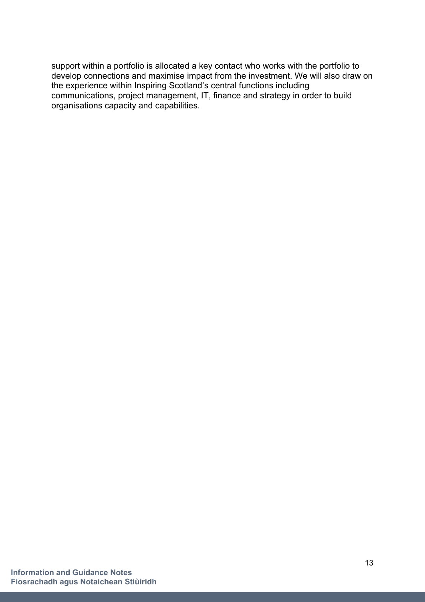support within a portfolio is allocated a key contact who works with the portfolio to develop connections and maximise impact from the investment. We will also draw on the experience within Inspiring Scotland's central functions including communications, project management, IT, finance and strategy in order to build organisations capacity and capabilities.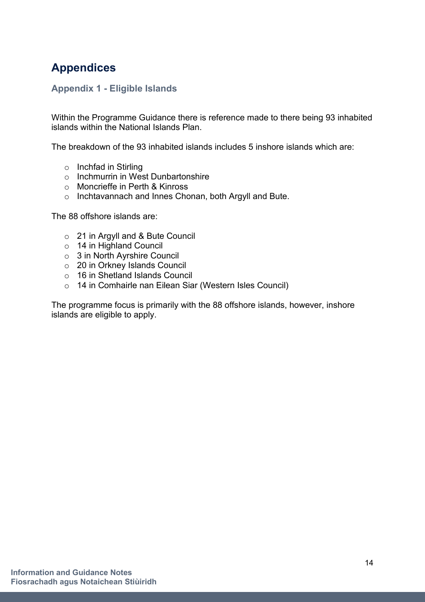# <span id="page-13-0"></span>**Appendices**

## <span id="page-13-1"></span>**Appendix 1 - Eligible Islands**

Within the Programme Guidance there is reference made to there being 93 inhabited islands within the National Islands Plan.

The breakdown of the 93 inhabited islands includes 5 inshore islands which are:

- o Inchfad in Stirling
- o Inchmurrin in West Dunbartonshire
- o Moncrieffe in Perth & Kinross
- o Inchtavannach and Innes Chonan, both Argyll and Bute.

The 88 offshore islands are:

- o 21 in Argyll and & Bute Council
- o 14 in Highland Council
- o 3 in North Ayrshire Council
- o 20 in Orkney Islands Council
- o 16 in Shetland Islands Council
- o 14 in Comhairle nan Eilean Siar (Western Isles Council)

The programme focus is primarily with the 88 offshore islands, however, inshore islands are eligible to apply.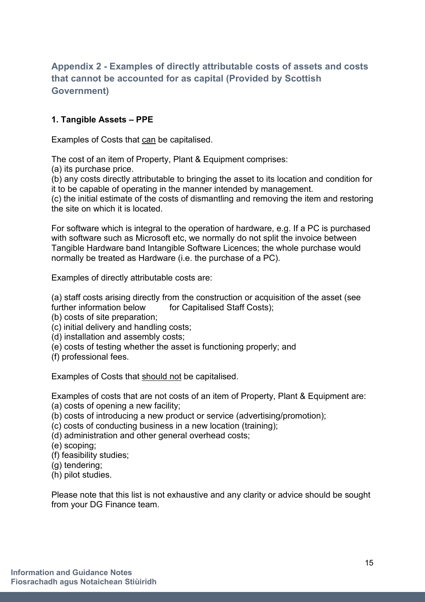## <span id="page-14-0"></span>**Appendix 2 - Examples of directly attributable costs of assets and costs that cannot be accounted for as capital (Provided by Scottish Government)**

## **1. Tangible Assets – PPE**

Examples of Costs that can be capitalised.

The cost of an item of Property, Plant & Equipment comprises:

(a) its purchase price.

(b) any costs directly attributable to bringing the asset to its location and condition for it to be capable of operating in the manner intended by management.

(c) the initial estimate of the costs of dismantling and removing the item and restoring the site on which it is located.

For software which is integral to the operation of hardware, e.g. If a PC is purchased with software such as Microsoft etc, we normally do not split the invoice between Tangible Hardware band Intangible Software Licences; the whole purchase would normally be treated as Hardware (i.e. the purchase of a PC).

Examples of directly attributable costs are:

(a) staff costs arising directly from the construction or acquisition of the asset (see further information below for Capitalised Staff Costs);

- (b) costs of site preparation;
- (c) initial delivery and handling costs;
- (d) installation and assembly costs;
- (e) costs of testing whether the asset is functioning properly; and
- (f) professional fees.

Examples of Costs that should not be capitalised.

Examples of costs that are not costs of an item of Property, Plant & Equipment are:

- (a) costs of opening a new facility;
- (b) costs of introducing a new product or service (advertising/promotion);
- (c) costs of conducting business in a new location (training);
- (d) administration and other general overhead costs;
- (e) scoping;
- (f) feasibility studies;
- (g) tendering;
- (h) pilot studies.

Please note that this list is not exhaustive and any clarity or advice should be sought from your DG Finance team.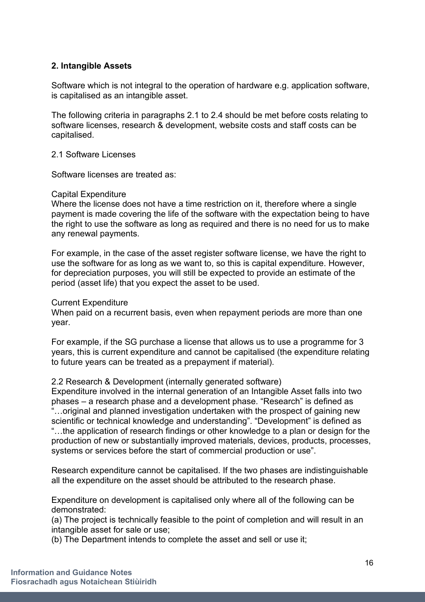#### **2. Intangible Assets**

Software which is not integral to the operation of hardware e.g. application software, is capitalised as an intangible asset.

The following criteria in paragraphs 2.1 to 2.4 should be met before costs relating to software licenses, research & development, website costs and staff costs can be capitalised.

#### 2.1 Software Licenses

Software licenses are treated as:

#### Capital Expenditure

Where the license does not have a time restriction on it, therefore where a single payment is made covering the life of the software with the expectation being to have the right to use the software as long as required and there is no need for us to make any renewal payments.

For example, in the case of the asset register software license, we have the right to use the software for as long as we want to, so this is capital expenditure. However, for depreciation purposes, you will still be expected to provide an estimate of the period (asset life) that you expect the asset to be used.

#### Current Expenditure

When paid on a recurrent basis, even when repayment periods are more than one year.

For example, if the SG purchase a license that allows us to use a programme for 3 years, this is current expenditure and cannot be capitalised (the expenditure relating to future years can be treated as a prepayment if material).

#### 2.2 Research & Development (internally generated software)

Expenditure involved in the internal generation of an Intangible Asset falls into two phases – a research phase and a development phase. "Research" is defined as "…original and planned investigation undertaken with the prospect of gaining new scientific or technical knowledge and understanding". "Development" is defined as "…the application of research findings or other knowledge to a plan or design for the production of new or substantially improved materials, devices, products, processes, systems or services before the start of commercial production or use".

Research expenditure cannot be capitalised. If the two phases are indistinguishable all the expenditure on the asset should be attributed to the research phase.

Expenditure on development is capitalised only where all of the following can be demonstrated:

(a) The project is technically feasible to the point of completion and will result in an intangible asset for sale or use;

(b) The Department intends to complete the asset and sell or use it;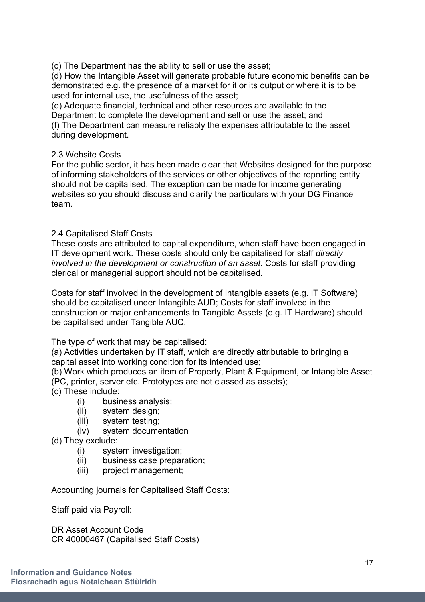(c) The Department has the ability to sell or use the asset;

(d) How the Intangible Asset will generate probable future economic benefits can be demonstrated e.g. the presence of a market for it or its output or where it is to be used for internal use, the usefulness of the asset;

(e) Adequate financial, technical and other resources are available to the Department to complete the development and sell or use the asset; and (f) The Department can measure reliably the expenses attributable to the asset during development.

#### 2.3 Website Costs

For the public sector, it has been made clear that Websites designed for the purpose of informing stakeholders of the services or other objectives of the reporting entity should not be capitalised. The exception can be made for income generating websites so you should discuss and clarify the particulars with your DG Finance team.

#### 2.4 Capitalised Staff Costs

These costs are attributed to capital expenditure, when staff have been engaged in IT development work. These costs should only be capitalised for staff *directly involved in the development or construction of an asset*. Costs for staff providing clerical or managerial support should not be capitalised.

Costs for staff involved in the development of Intangible assets (e.g. IT Software) should be capitalised under Intangible AUD; Costs for staff involved in the construction or major enhancements to Tangible Assets (e.g. IT Hardware) should be capitalised under Tangible AUC.

The type of work that may be capitalised:

(a) Activities undertaken by IT staff, which are directly attributable to bringing a capital asset into working condition for its intended use;

(b) Work which produces an item of Property, Plant & Equipment, or Intangible Asset (PC, printer, server etc. Prototypes are not classed as assets);

(c) These include:

- (i) business analysis;
- (ii) system design;
- (iii) system testing;
- (iv) system documentation
- (d) They exclude:
	- (i) system investigation;
	- (ii) business case preparation;
	- (iii) project management;

Accounting journals for Capitalised Staff Costs:

Staff paid via Payroll:

DR Asset Account Code CR 40000467 (Capitalised Staff Costs)